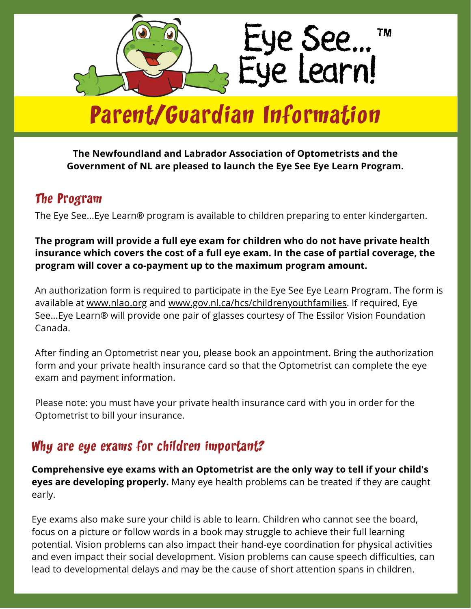

# Parent/Guardian Information

#### **The Newfoundland and Labrador Association of Optometrists and the Government of NL are pleased to launch the Eye See Eye Learn Program.**

### The Program

The Eye See...Eye Learn® program is available to children preparing to enter kindergarten.

#### **The program will provide a full eye exam for children who do not have private health insurance which covers the cost of a full eye exam. In the case of partial coverage, the program will cover a co-payment up to the maximum program amount.**

An authorization form is required to participate in the Eye See Eye Learn Program. The form is available at [www.nlao.org](http://www.nlao.org/) and [www.gov.nl.ca/hcs/childrenyouthfamilies.](http://www.gov.nl.ca/hcs/childrenyouthfamilies) If required, Eye See...Eye Learn® will provide one pair of glasses courtesy of The Essilor Vision Foundation Canada.

After finding an Optometrist near you, please book an appointment. Bring the authorization form and your private health insurance card so that the Optometrist can complete the eye exam and payment information.

Please note: you must have your private health insurance card with you in order for the Optometrist to bill your insurance.

## Why are eye exams for children important?

**Comprehensive eye exams with an Optometrist are the only way to tell if your child's eyes are developing properly.** Many eye health problems can be treated if they are caught early.

Eye exams also make sure your child is able to learn. Children who cannot see the board, focus on a picture or follow words in a book may struggle to achieve their full learning potential. Vision problems can also impact their hand-eye coordination for physical activities and even impact their social development. Vision problems can cause speech difficulties, can lead to developmental delays and may be the cause of short attention spans in children.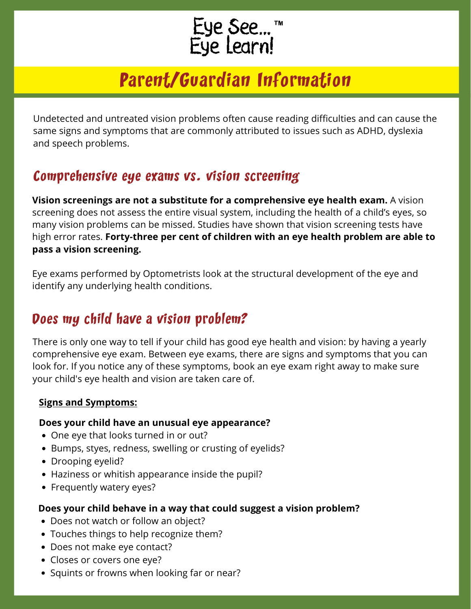# Eye See...™<br>Eye Learn!

# Parent/Guardian Information

Undetected and untreated vision problems often cause reading difficulties and can cause the same signs and symptoms that are commonly attributed to issues such as ADHD, dyslexia and speech problems.

## Comprehensive eye exams vs. vision screening

**Vision screenings are not a substitute for a comprehensive eye health exam.** A vision screening does not assess the entire visual system, including the health of a child's eyes, so many vision problems can be missed. Studies have shown that vision screening tests have high error rates. **Forty-three per cent of children with an eye health problem are able to pass a vision screening.**

Eye exams performed by Optometrists look at the structural development of the eye and identify any underlying health conditions.

# Does my child have a vision problem?

There is only one way to tell if your child has good eye health and vision: by having a yearly comprehensive eye exam. Between eye exams, there are signs and symptoms that you can look for. If you notice any of these symptoms, book an eye exam right away to make sure your child's eye health and vision are taken care of.

#### **Signs and Symptoms:**

#### **Does your child have an unusual eye appearance?**

- One eye that looks turned in or out?
- Bumps, styes, redness, swelling or crusting of eyelids?
- Drooping eyelid?
- Haziness or whitish appearance inside the pupil?
- Frequently watery eyes?

#### **Does your child behave in a way that could suggest a vision problem?**

- Does not watch or follow an object?
- Touches things to help recognize them?
- Does not make eye contact?
- Closes or covers one eye?
- Squints or frowns when looking far or near?